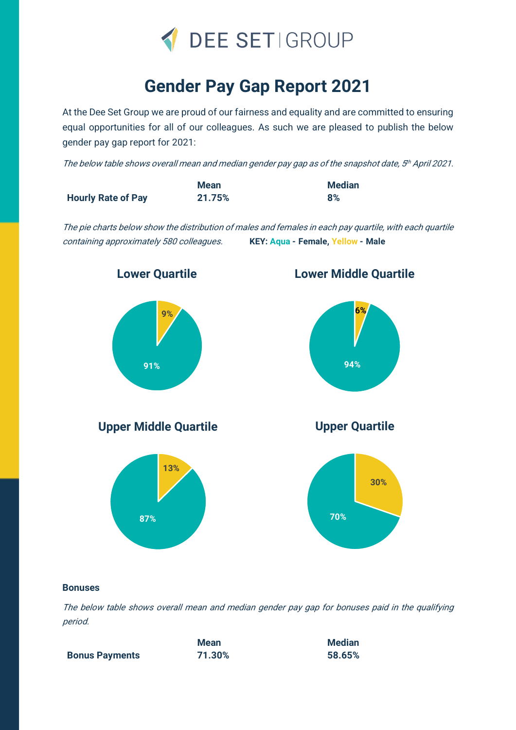

## **Gender Pay Gap Report 2021**

At the Dee Set Group we are proud of our fairness and equality and are committed to ensuring equal opportunities for all of our colleagues. As such we are pleased to publish the below gender pay gap report for 2021:

The below table shows overall mean and median gender pay gap as of the snapshot date, 5<sup>th</sup> April 2021.

|                           | <b>Mean</b> | <b>Median</b> |
|---------------------------|-------------|---------------|
| <b>Hourly Rate of Pay</b> | 21.75%      | 8%            |

The pie charts below show the distribution of males and females in each pay quartile, with each quartile containing approximately 580 colleagues. **KEY: Aqua - Female, Yellow - Male**



## **Bonuses**

The below table shows overall mean and median gender pay gap for bonuses paid in the qualifying period.

|                       | Mean   | <b>Median</b> |
|-----------------------|--------|---------------|
| <b>Bonus Payments</b> | 71.30% | 58.65%        |